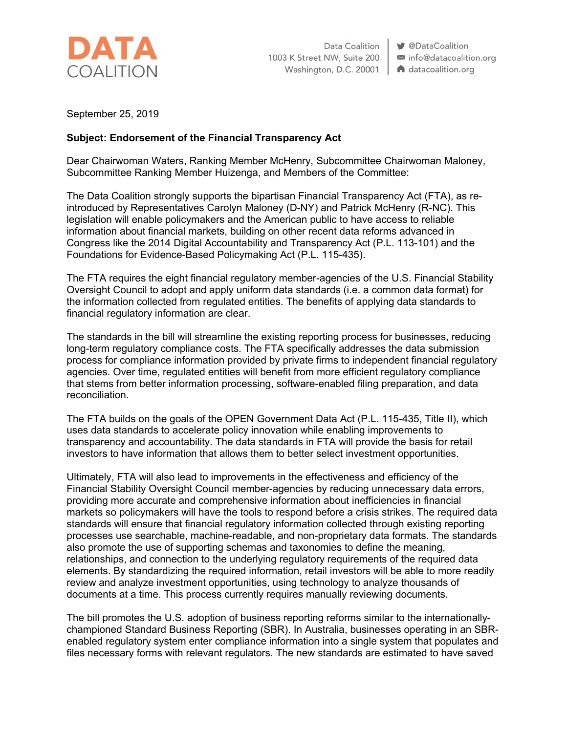

Data Coalition 1003 K Street NW, Suite 200 Washington, D.C. 20001 | A datacoalition.org

● @DataCoalition ⊠ info@datacoalition.org

September 25, 2019

## **Subject: Endorsement of the Financial Transparency Act**

Dear Chairwoman Waters, Ranking Member McHenry, Subcommittee Chairwoman Maloney, Subcommittee Ranking Member Huizenga, and Members of the Committee:

The Data Coalition strongly supports the bipartisan Financial Transparency Act (FTA), as reintroduced by Representatives Carolyn Maloney (D-NY) and Patrick McHenry (R-NC). This legislation will enable policymakers and the American public to have access to reliable information about financial markets, building on other recent data reforms advanced in Congress like the 2014 Digital Accountability and Transparency Act (P.L. 113-101) and the Foundations for Evidence-Based Policymaking Act (P.L. 115-435).

The FTA requires the eight financial regulatory member-agencies of the U.S. Financial Stability Oversight Council to adopt and apply uniform data standards (i.e. a common data format) for the information collected from regulated entities. The benefits of applying data standards to financial regulatory information are clear.

The standards in the bill will streamline the existing reporting process for businesses, reducing long-term regulatory compliance costs. The FTA specifically addresses the data submission process for compliance information provided by private firms to independent financial regulatory agencies. Over time, regulated entities will benefit from more efficient regulatory compliance that stems from better information processing, software-enabled filing preparation, and data reconciliation.

The FTA builds on the goals of the OPEN Government Data Act (P.L. 115-435, Title II), which uses data standards to accelerate policy innovation while enabling improvements to transparency and accountability. The data standards in FTA will provide the basis for retail investors to have information that allows them to better select investment opportunities.

Ultimately, FTA will also lead to improvements in the effectiveness and efficiency of the Financial Stability Oversight Council member-agencies by reducing unnecessary data errors, providing more accurate and comprehensive information about inefficiencies in financial markets so policymakers will have the tools to respond before a crisis strikes. The required data standards will ensure that financial regulatory information collected through existing reporting processes use searchable, machine-readable, and non-proprietary data formats. The standards also promote the use of supporting schemas and taxonomies to define the meaning, relationships, and connection to the underlying regulatory requirements of the required data elements. By standardizing the required information, retail investors will be able to more readily review and analyze investment opportunities, using technology to analyze thousands of documents at a time. This process currently requires manually reviewing documents.

The bill promotes the U.S. adoption of business reporting reforms similar to the internationallychampioned Standard Business Reporting (SBR). In Australia, businesses operating in an SBRenabled regulatory system enter compliance information into a single system that populates and files necessary forms with relevant regulators. The new standards are estimated to have saved